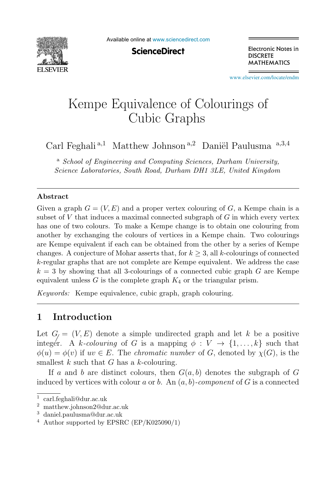

Available online at [www.sciencedirect.com](http://www.sciencedirect.com)

**ScienceDirect** 

Electronic Notes in **DISCRETE MATHEMATICS** 

[www.elsevier.com/locate/endm](http://www.elsevier.com/locate/endm)

# Kempe Equivalence of Colourings of<br>Cubic Graphs  $\mathcal{L}_{\text{max}}$

Carl Feghali<sup>a,1</sup> Matthew Johnson<sup>a,2</sup> Daniël Paulusma<sup>a,3,4</sup>

<sup>a</sup> *School of Engineering and Computing Sciences, Durham University, Science Laboratories, South Road, Durham DH1 3LE, United Kingdom*

#### **Abstract**

Given a graph  $G = (V, E)$  and a proper vertex colouring of G, a Kempe chain is a subset of  $V$  that induces a maximal connected subgraph of  $G$  in which every vertex has one of two colours. To make a Kempe change is to obtain one colouring from another by exchanging the colours of vertices in a Kempe chain. Two colourings are Kempe equivalent if each can be obtained from the other by a series of Kempe changes. A conjecture of Mohar asserts that, for  $k \geq 3$ , all k-colourings of connected k-regular graphs that are not complete are Kempe equivalent. We address the case  $k = 3$  by showing that all 3-colourings of a connected cubic graph G are Kempe equivalent unless  $G$  is the complete graph  $K_4$  or the triangular prism.

*Keywords:* Kempe equivalence, cubic graph, graph colouring.

## **1 Introduction**

Let  $G_i = (V, E)$  denote a simple undirected graph and let k be a positive integer. A k-colouring of G is a mapping  $\phi: V \to \{1,\ldots,k\}$  such that  $\phi(u) = \phi(v)$  if  $uv \in E$ . The *chromatic number* of G, denoted by  $\chi(G)$ , is the ĺ smallest k such that G has a k-colouring.

If a and b are distinct colours, then  $G(a, b)$  denotes the subgraph of G induced by vertices with colour a or b. An  $(a, b)$ -component of G is a connected

<sup>1</sup> carl.feghali@dur.ac.uk

<sup>2</sup> matthew.johnson2@dur.ac.uk

<sup>3</sup> daniel.paulusma@dur.ac.uk

 $4$  Author supported by EPSRC (EP/K025090/1)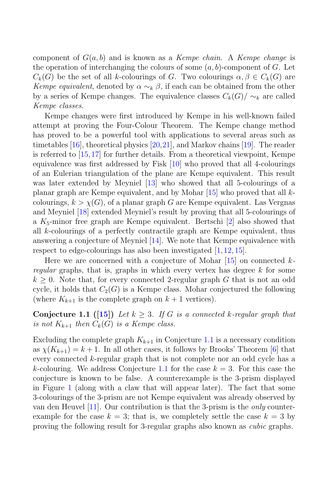component of  $G(a, b)$  and is known as a Kempe chain. A Kempe change is the operation of interchanging the colours of some  $(a, b)$ -component of G. Let  $C_k(G)$  be the set of all k-colourings of G. Two colourings  $\alpha, \beta \in C_k(G)$  are Kempe equivalent, denoted by  $\alpha \sim_k \beta$ , if each can be obtained from the other by a series of Kempe changes. The equivalence classes  $C_k(G)/\sim_k$  are called Kempe classes.

Kempe changes were first introduced by Kempe in his well-known failed attempt at proving the Four-Colour Theorem. The Kempe change method has proved to be a powerful tool with applications to several areas such as timetables [16], theoretical physics [20,21], and Markov chains [19]. The reader is referred to [15,17] for further details. From a theoretical viewpoint, Kempe equivalence was first addressed by Fisk [10] who proved that all 4-colourings of an Eulerian triangulation of the plane are Kempe equivalent. This result was later extended by Meyniel [13] who showed that all 5-colourings of a planar graph are Kempe equivalent, and by Mohar [15] who proved that all kcolourings,  $k > \chi(G)$ , of a planar graph G are Kempe equivalent. Las Vergnas and Meyniel [18] extended Meyniel's result by proving that all 5-colourings of a  $K_5$ -minor free graph are Kempe equivalent. Bertschi [2] also showed that all k-colourings of a perfectly contractile graph are Kempe equivalent, thus answering a conjecture of Meyniel [14]. We note that Kempe equivalence with respect to edge-colourings has also been investigated  $[1, 12, 15]$ .

Here we are concerned with a conjecture of Mohar  $[15]$  on connected kregular graphs, that is, graphs in which every vertex has degree  $k$  for some  $k \geq 0$ . Note that, for every connected 2-regular graph G that is not an odd cycle, it holds that  $C_2(G)$  is a Kempe class. Mohar conjectured the following (where  $K_{k+1}$  is the complete graph on  $k+1$  vertices).

**Conjecture 1.1 ([15])** Let  $k \geq 3$ . If G is a connected k-regular graph that is not  $K_{k+1}$  then  $C_k(G)$  is a Kempe class.

Excluding the complete graph  $K_{k+1}$  in Conjecture 1.1 is a necessary condition as  $\chi(K_{k+1}) = k+1$ . In all other cases, it follows by Brooks' Theorem [6] that every connected k-regular graph that is not complete nor an odd cycle has a k-colouring. We address Conjecture 1.1 for the case  $k = 3$ . For this case the conjecture is known to be false. A counterexample is the 3-prism displayed in Figure 1 (along with a claw that will appear later). The fact that some 3-colourings of the 3-prism are not Kempe equivalent was already observed by van den Heuvel [11]. Our contribution is that the 3-prism is the *only* counterexample for the case  $k = 3$ ; that is, we completely settle the case  $k = 3$  by proving the following result for 3-regular graphs also known as cubic graphs.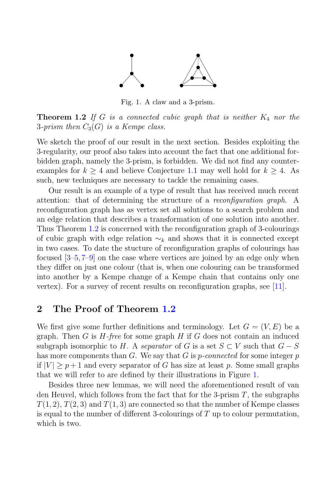

Fig. 1. A claw and a 3-prism.

**Theorem 1.2** If G is a connected cubic graph that is neither  $K_4$  nor the 3-prism then  $C_3(G)$  is a Kempe class.

We sketch the proof of our result in the next section. Besides exploiting the 3-regularity, our proof also takes into account the fact that one additional forbidden graph, namely the 3-prism, is forbidden. We did not find any counterexamples for  $k \geq 4$  and believe Conjecture 1.1 may well hold for  $k \geq 4$ . As such, new techniques are necessary to tackle the remaining cases.

Our result is an example of a type of result that has received much recent attention: that of determining the structure of a reconfiguration graph. A reconfiguration graph has as vertex set all solutions to a search problem and an edge relation that describes a transformation of one solution into another. Thus Theorem 1.2 is concerned with the reconfiguration graph of 3-colourings of cubic graph with edge relation  $\sim_k$  and shows that it is connected except in two cases. To date the stucture of reconfiguration graphs of colourings has focused [3–5, 7–9] on the case where vertices are joined by an edge only when they differ on just one colour (that is, when one colouring can be transformed into another by a Kempe change of a Kempe chain that contains only one vertex). For a survey of recent results on reconfiguration graphs, see [11].

## **2 The Proof of Theorem 1.2**

We first give some further definitions and terminology. Let  $G = (V, E)$  be a graph. Then G is  $H$ -free for some graph H if G does not contain an induced subgraph isomorphic to H. A separator of G is a set  $S \subset V$  such that  $G - S$ has more components than G. We say that G is *p*-connected for some integer p if  $|V| \geq p+1$  and every separator of G has size at least p. Some small graphs that we will refer to are defined by their illustrations in Figure 1.

Besides three new lemmas, we will need the aforementioned result of van den Heuvel, which follows from the fact that for the 3-prism  $T$ , the subgraphs  $T(1, 2)$ ,  $T(2, 3)$  and  $T(1, 3)$  are connected so that the number of Kempe classes is equal to the number of different 3-colourings of  $T$  up to colour permutation, which is two.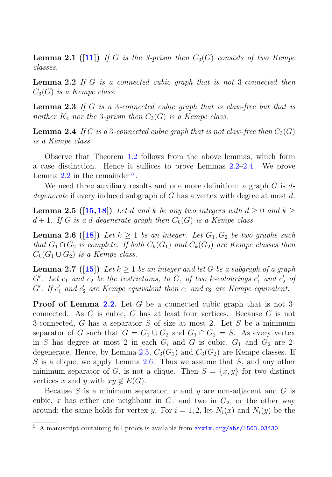**Lemma 2.1 ([11])** If G is the 3-prism then  $C_3(G)$  consists of two Kempe classes.

**Lemma 2.2** If G is a connected cubic graph that is not 3-connected then  $C_3(G)$  is a Kempe class.

**Lemma 2.3** If G is a 3-connected cubic graph that is claw-free but that is neither  $K_4$  nor the 3-prism then  $C_3(G)$  is a Kempe class.

**Lemma 2.4** If G is a 3-connected cubic graph that is not claw-free then  $C_3(G)$ is a Kempe class.

Observe that Theorem 1.2 follows from the above lemmas, which form a case distinction. Hence it suffices to prove Lemmas 2.2–2.4. We prove Lemma  $2.2$  in the remainder  $5$ .

We need three auxiliary results and one more definition: a graph  $G$  is  $d$ degenerate if every induced subgraph of  $G$  has a vertex with degree at most  $d$ .

**Lemma 2.5 ([15,18])** Let d and k be any two integers with  $d > 0$  and  $k >$  $d+1$ . If G is a d-degenerate graph then  $C_k(G)$  is a Kempe class.

**Lemma 2.6 ([18])** Let  $k \geq 1$  be an integer. Let  $G_1, G_2$  be two graphs such that  $G_1 \cap G_2$  is complete. If both  $C_k(G_1)$  and  $C_k(G_2)$  are Kempe classes then  $C_k(G_1\cup G_2)$  is a Kempe class.

**Lemma 2.7** ([15]) Let  $k \geq 1$  be an integer and let G be a subgraph of a graph  $G'$ . Let  $c_1$  and  $c_2$  be the restrictions, to  $G$ , of two k-colourings  $c'_1$  and  $c'_2$  of  $G'$ . If  $c'_1$  and  $c'_2$  are Kempe equivalent then  $c_1$  and  $c_2$  are Kempe equivalent.

**Proof of Lemma 2.2.** Let G be a connected cubic graph that is not 3 connected. As G is cubic, G has at least four vertices. Because G is not 3-connected, G has a separator S of size at most 2. Let S be a minimum separator of G such that  $G = G_1 \cup G_2$  and  $G_1 \cap G_2 = S$ . As every vertex in S has degree at most 2 in each  $G_i$  and G is cubic,  $G_1$  and  $G_2$  are 2degenerate. Hence, by Lemma 2.5,  $C_3(G_1)$  and  $C_3(G_2)$  are Kempe classes. If S is a clique, we apply Lemma 2.6. Thus we assume that  $S$ , and any other minimum separator of G, is not a clique. Then  $S = \{x, y\}$  for two distinct vertices x and y with  $xy \notin E(G)$ .

Because S is a minimum separator, x and y are non-adjacent and G is cubic, x has either one neighbour in  $G_1$  and two in  $G_2$ , or the other way around; the same holds for vertex y. For  $i = 1, 2$ , let  $N_i(x)$  and  $N_i(y)$  be the

<sup>5</sup> A manuscript containing full proofs is available from arxiv.org/abs/1503.03430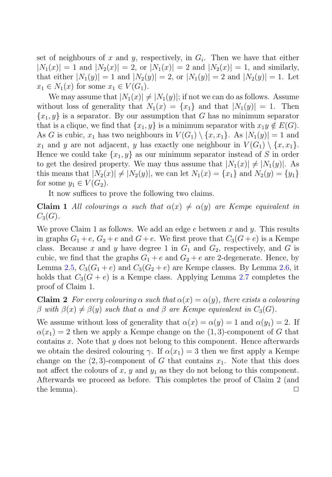set of neighbours of x and y, respectively, in  $G_i$ . Then we have that either  $|N_1(x)| = 1$  and  $|N_2(x)| = 2$ , or  $|N_1(x)| = 2$  and  $|N_2(x)| = 1$ , and similarly, that either  $|N_1(y)| = 1$  and  $|N_2(y)| = 2$ , or  $|N_1(y)| = 2$  and  $|N_2(y)| = 1$ . Let  $x_1 \in N_1(x)$  for some  $x_1 \in V(G_1)$ .

We may assume that  $|N_1(x)| \neq |N_1(y)|$ ; if not we can do as follows. Assume without loss of generality that  $N_1(x) = \{x_1\}$  and that  $|N_1(y)| = 1$ . Then  ${x_1, y}$  is a separator. By our assumption that G has no minimum separator that is a clique, we find that  $\{x_1, y\}$  is a minimum separator with  $x_1y \notin E(G)$ . As G is cubic,  $x_1$  has two neighbours in  $V(G_1) \setminus \{x, x_1\}$ . As  $|N_1(y)| = 1$  and  $x_1$  and y are not adjacent, y has exactly one neighbour in  $V(G_1) \setminus \{x, x_1\}.$ Hence we could take  $\{x_1, y\}$  as our minimum separator instead of S in order to get the desired property. We may thus assume that  $|N_1(x)| \neq |N_1(y)|$ . As this means that  $|N_2(x)| \neq |N_2(y)|$ , we can let  $N_1(x) = \{x_1\}$  and  $N_2(y) = \{y_1\}$ for some  $y_1 \in V(G_2)$ .

It now suffices to prove the following two claims.

**Claim 1** All colourings  $\alpha$  such that  $\alpha(x) \neq \alpha(y)$  are Kempe equivalent in  $C_3(G)$ .

We prove Claim 1 as follows. We add an edge  $e$  between x and y. This results in graphs  $G_1 + e$ ,  $G_2 + e$  and  $G + e$ . We first prove that  $C_3(G + e)$  is a Kempe class. Because x and y have degree 1 in  $G_1$  and  $G_2$ , respectively, and G is cubic, we find that the graphs  $G_1 + e$  and  $G_2 + e$  are 2-degenerate. Hence, by Lemma 2.5,  $C_3(G_1+e)$  and  $C_3(G_2+e)$  are Kempe classes. By Lemma 2.6, it holds that  $C_3(G + e)$  is a Kempe class. Applying Lemma 2.7 completes the proof of Claim 1.

**Claim 2** For every colouring  $\alpha$  such that  $\alpha(x) = \alpha(y)$ , there exists a colouring β with  $β(x) ≠ β(y)$  such that  $α$  and  $β$  are Kempe equivalent in  $C_3(G)$ .

We assume without loss of generality that  $\alpha(x) = \alpha(y) = 1$  and  $\alpha(y_1) = 2$ . If  $\alpha(x_1) = 2$  then we apply a Kempe change on the  $(1, 3)$ -component of G that contains  $x$ . Note that  $y$  does not belong to this component. Hence afterwards we obtain the desired colouring  $\gamma$ . If  $\alpha(x_1) = 3$  then we first apply a Kempe change on the  $(2, 3)$ -component of G that contains  $x_1$ . Note that this does not affect the colours of x, y and  $y_1$  as they do not belong to this component. Afterwards we proceed as before. This completes the proof of Claim 2 (and the lemma).  $\Box$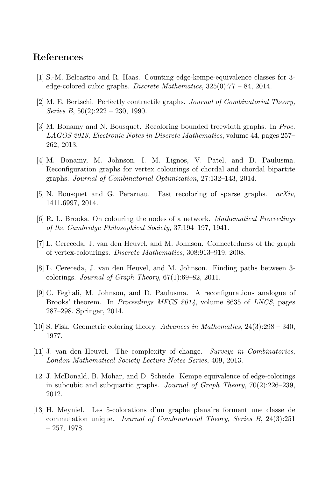## **References**

- [1] S.-M. Belcastro and R. Haas. Counting edge-kempe-equivalence classes for 3 edge-colored cubic graphs. *Discrete Mathematics*, 325(0):77 – 84, 2014.
- [2] M. E. Bertschi. Perfectly contractile graphs. *Journal of Combinatorial Theory, Series B*, 50(2):222 – 230, 1990.
- [3] M. Bonamy and N. Bousquet. Recoloring bounded treewidth graphs. In *Proc. LAGOS 2013, Electronic Notes in Discrete Mathematics*, volume 44, pages 257– 262, 2013.
- [4] M. Bonamy, M. Johnson, I. M. Lignos, V. Patel, and D. Paulusma. Reconfiguration graphs for vertex colourings of chordal and chordal bipartite graphs. *Journal of Combinatorial Optimization*, 27:132–143, 2014.
- [5] N. Bousquet and G. Perarnau. Fast recoloring of sparse graphs. *arXiv*, 1411.6997, 2014.
- [6] R. L. Brooks. On colouring the nodes of a network. *Mathematical Proceedings of the Cambridge Philosophical Society*, 37:194–197, 1941.
- [7] L. Cereceda, J. van den Heuvel, and M. Johnson. Connectedness of the graph of vertex-colourings. *Discrete Mathematics*, 308:913–919, 2008.
- [8] L. Cereceda, J. van den Heuvel, and M. Johnson. Finding paths between 3 colorings. *Journal of Graph Theory*, 67(1):69–82, 2011.
- [9] C. Feghali, M. Johnson, and D. Paulusma. A reconfigurations analogue of Brooks' theorem. In *Proceedings MFCS 2014*, volume 8635 of *LNCS*, pages 287–298. Springer, 2014.
- [10] S. Fisk. Geometric coloring theory. *Advances in Mathematics*, 24(3):298 340, 1977.
- [11] J. van den Heuvel. The complexity of change. *Surveys in Combinatorics, London Mathematical Society Lecture Notes Series*, 409, 2013.
- [12] J. McDonald, B. Mohar, and D. Scheide. Kempe equivalence of edge-colorings in subcubic and subquartic graphs. *Journal of Graph Theory*, 70(2):226–239, 2012.
- [13] H. Meyniel. Les 5-colorations d'un graphe planaire forment une classe de commutation unique. *Journal of Combinatorial Theory, Series B*, 24(3):251  $-257, 1978.$